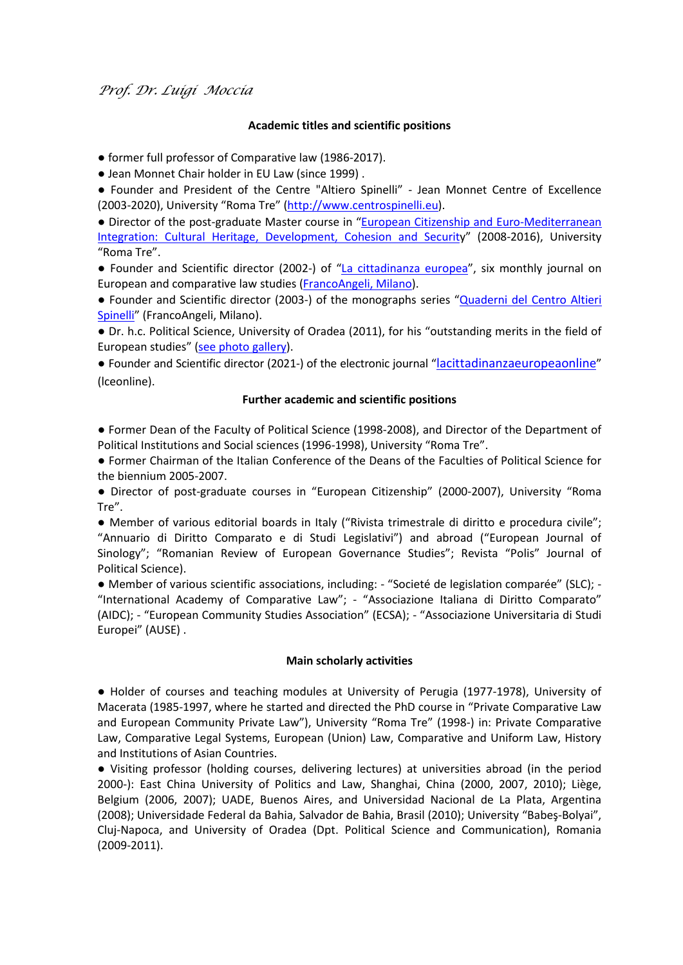# **Academic titles and scientific positions**

● former full professor of Comparative law (1986-2017).

● Jean Monnet Chair holder in EU Law (since 1999) .

● Founder and President of the Centre "Altiero Spinelli" - Jean Monnet Centre of Excellence (2003-2020), University "Roma Tre" [\(http://www.centrospinelli.eu\)](http://www.centrospinelli.eu/).

• Director of the post-graduate Master course in "European Citizenship and Euro-Mediterranean [Integration: Cultural Heritage, Development, Cohesion and Securit](http://www.centrospinelli.eu/pages/postgraduate.html)y" (2008-2016), University "Roma Tre".

● Founder and Scientific director (2002-) of ["La cittadinanza europea"](http://www.centrospinelli.eu/pages/cittadinanza_europea.html), six monthly journal on European and comparative law studies [\(FrancoAngeli, Milano\)](https://www.francoangeli.it/riviste/sommario.aspx?IDRivista=165&lingua=IT).

● Founder and Scientific director (2003-) of the monographs series ["Quaderni del Centro Altieri](http://www.centrospinelli.eu/pages/Quaderni.html)  [Spinelli"](http://www.centrospinelli.eu/pages/Quaderni.html) (FrancoAngeli, Milano).

● Dr. h.c. Political Science, University of Oradea (2011), for his "outstanding merits in the field of European studies" [\(see photo gallery\)](https://photos.google.com/share/AF1QipMBwUiOC6sqPx-n6mTtrF-8ZGJA7nVFtaATGGAjfnwmHfYAef2nky7MtUPfgY9_3w?key=ckZZNzlwTW5MRHpXSnNzcExHX0ZaMjNDT29wTm9n).

● Founder and Scientific director (2021-) of the electronic journal ["lacittadinanzaeuropeaonline"](https://www.lceonline.eu/) (lceonline).

## **Further academic and scientific positions**

● Former Dean of the Faculty of Political Science (1998-2008), and Director of the Department of Political Institutions and Social sciences (1996-1998), University "Roma Tre".

● Former Chairman of the Italian Conference of the Deans of the Faculties of Political Science for the biennium 2005-2007.

● Director of post-graduate courses in "European Citizenship" (2000-2007), University "Roma Tre".

● Member of various editorial boards in Italy ("Rivista trimestrale di diritto e procedura civile"; "Annuario di Diritto Comparato e di Studi Legislativi") and abroad ("European Journal of Sinology"; "Romanian Review of European Governance Studies"; Revista "Polis" Journal of Political Science).

● Member of various scientific associations, including: - "Societé de legislation comparée" (SLC); - "International Academy of Comparative Law"; - "Associazione Italiana di Diritto Comparato" (AIDC); - "European Community Studies Association" (ECSA); - "Associazione Universitaria di Studi Europei" (AUSE) .

## **Main scholarly activities**

● Holder of courses and teaching modules at University of Perugia (1977-1978), University of Macerata (1985-1997, where he started and directed the PhD course in "Private Comparative Law and European Community Private Law"), University "Roma Tre" (1998-) in: Private Comparative Law, Comparative Legal Systems, European (Union) Law, Comparative and Uniform Law, History and Institutions of Asian Countries.

● Visiting professor (holding courses, delivering lectures) at universities abroad (in the period 2000-): East China University of Politics and Law, Shanghai, China (2000, 2007, 2010); Liège, Belgium (2006, 2007); UADE, Buenos Aires, and Universidad Nacional de La Plata, Argentina (2008); Universidade Federal da Bahia, Salvador de Bahia, Brasil (2010); University "Babeş-Bolyai", Cluj-Napoca, and University of Oradea (Dpt. Political Science and Communication), Romania (2009-2011).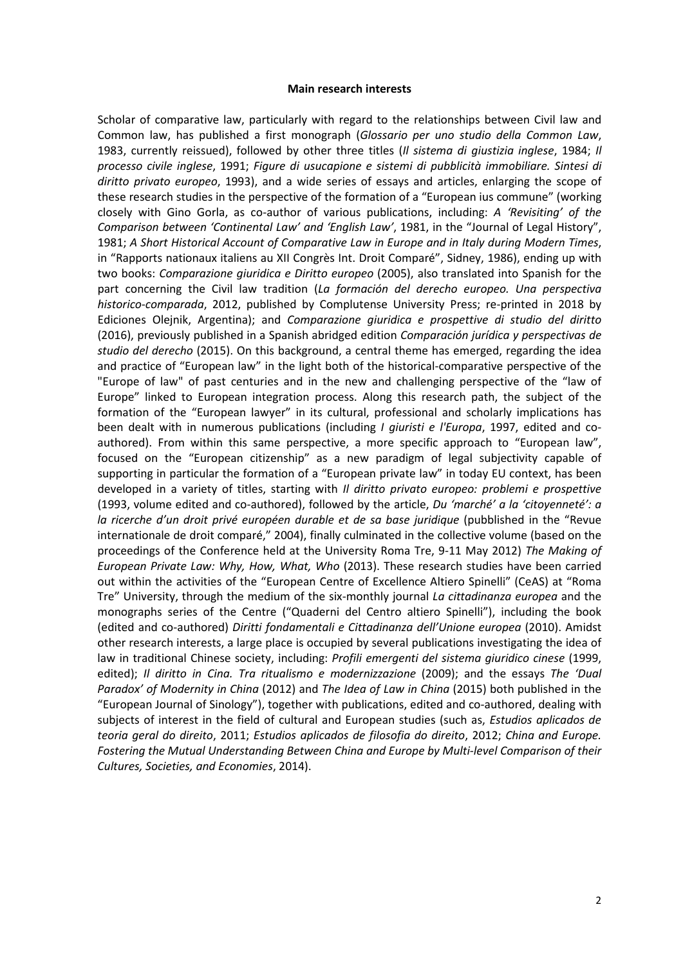#### **Main research interests**

Scholar of comparative law, particularly with regard to the relationships between Civil law and Common law, has published a first monograph (*Glossario per uno studio della Common Law*, 1983, currently reissued), followed by other three titles (*Il sistema di giustizia inglese*, 1984; *Il processo civile inglese*, 1991; *Figure di usucapione e sistemi di pubblicità immobiliare. Sintesi di diritto privato europeo*, 1993), and a wide series of essays and articles, enlarging the scope of these research studies in the perspective of the formation of a "European ius commune" (working closely with Gino Gorla, as co-author of various publications, including: *A 'Revisiting' of the Comparison between 'Continental Law' and 'English Law'*, 1981, in the "Journal of Legal History", 1981; *A Short Historical Account of Comparative Law in Europe and in Italy during Modern Times*, in "Rapports nationaux italiens au XII Congrès Int. Droit Comparé", Sidney, 1986), ending up with two books: *Comparazione giuridica e Diritto europeo* (2005), also translated into Spanish for the part concerning the Civil law tradition (*La formación del derecho europeo. Una perspectiva historico-comparada*, 2012, published by Complutense University Press; re-printed in 2018 by Ediciones Olejnik, Argentina); and *Comparazione giuridica e prospettive di studio del diritto* (2016), previously published in a Spanish abridged edition *Comparación jurídica y perspectivas de studio del derecho* (2015). On this background, a central theme has emerged, regarding the idea and practice of "European law" in the light both of the historical-comparative perspective of the "Europe of law" of past centuries and in the new and challenging perspective of the "law of Europe" linked to European integration process. Along this research path, the subject of the formation of the "European lawyer" in its cultural, professional and scholarly implications has been dealt with in numerous publications (including *I giuristi e l'Europa*, 1997, edited and coauthored). From within this same perspective, a more specific approach to "European law", focused on the "European citizenship" as a new paradigm of legal subjectivity capable of supporting in particular the formation of a "European private law" in today EU context, has been developed in a variety of titles, starting with *Il diritto privato europeo: problemi e prospettive* (1993, volume edited and co-authored), followed by the article, *Du 'marché' a la 'citoyenneté': a la ricerche d'un droit privé européen durable et de sa base juridique* (pubblished in the "Revue internationale de droit comparé," 2004), finally culminated in the collective volume (based on the proceedings of the Conference held at the University Roma Tre, 9-11 May 2012) *The Making of European Private Law: Why, How, What, Who* (2013). These research studies have been carried out within the activities of the "European Centre of Excellence Altiero Spinelli" (CeAS) at "Roma Tre" University, through the medium of the six-monthly journal *La cittadinanza europea* and the monographs series of the Centre ("Quaderni del Centro altiero Spinelli"), including the book (edited and co-authored) *Diritti fondamentali e Cittadinanza dell'Unione europea* (2010). Amidst other research interests, a large place is occupied by several publications investigating the idea of law in traditional Chinese society, including: *Profili emergenti del sistema giuridico cinese* (1999, edited); *Il diritto in Cina. Tra ritualismo e modernizzazione* (2009); and the essays *The 'Dual Paradox' of Modernity in China* (2012) and *The Idea of Law in China* (2015) both published in the "European Journal of Sinology"), together with publications, edited and co-authored, dealing with subjects of interest in the field of cultural and European studies (such as, *Estudios aplicados de teoria geral do direito*, 2011; *Estudios aplicados de filosofia do direito*, 2012; *China and Europe. Fostering the Mutual Understanding Between China and Europe by Multi-level Comparison of their Cultures, Societies, and Economies*, 2014).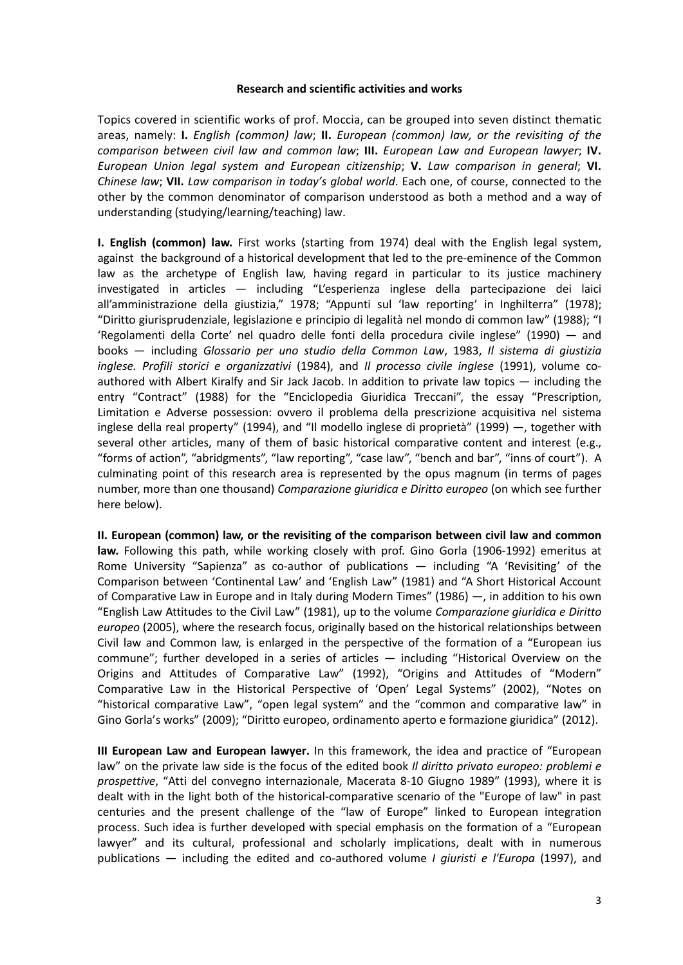### **Research and scientific activities and works**

Topics covered in scientific works of prof. Moccia, can be grouped into seven distinct thematic areas, namely: **I.** *English (common) law*; **II.** *European (common) law, or the revisiting of the comparison between civil law and common law*; **III.** *European Law and European lawyer*; **IV.**  *European Union legal system and European citizenship*; **V.** *Law comparison in general*; **VI.** *Chinese law*; **VII.** *Law comparison in today's global world*. Each one, of course, connected to the other by the common denominator of comparison understood as both a method and a way of understanding (studying/learning/teaching) law.

**I. English (common) law.** First works (starting from 1974) deal with the English legal system, against the background of a historical development that led to the pre-eminence of the Common law as the archetype of English law, having regard in particular to its justice machinery investigated in articles ― including "L'esperienza inglese della partecipazione dei laici all'amministrazione della giustizia," 1978; "Appunti sul 'law reporting' in Inghilterra" (1978); "Diritto giurisprudenziale, legislazione e principio di legalità nel mondo di common law" (1988); "I 'Regolamenti della Corte' nel quadro delle fonti della procedura civile inglese" (1990) ― and books ― including *Glossario per uno studio della Common Law*, 1983, *Il sistema di giustizia inglese. Profili storici e organizzativi* (1984), and *Il processo civile inglese* (1991), volume coauthored with Albert Kiralfy and Sir Jack Jacob. In addition to private law topics ― including the entry "Contract" (1988) for the "Enciclopedia Giuridica Treccani", the essay "Prescription, Limitation e Adverse possession: ovvero il problema della prescrizione acquisitiva nel sistema inglese della real property" (1994), and "Il modello inglese di proprietà" (1999) ―, together with several other articles, many of them of basic historical comparative content and interest (e.g., "forms of action", "abridgments", "law reporting", "case law", "bench and bar", "inns of court"). A culminating point of this research area is represented by the opus magnum (in terms of pages number, more than one thousand) *Comparazione giuridica e Diritto europeo* (on which see further here below).

**II. European (common) law, or the revisiting of the comparison between civil law and common law.** Following this path, while working closely with prof. Gino Gorla (1906-1992) emeritus at Rome University "Sapienza" as co-author of publications ― including "A 'Revisiting' of the Comparison between 'Continental Law' and 'English Law" (1981) and "A Short Historical Account of Comparative Law in Europe and in Italy during Modern Times" (1986) ―, in addition to his own "English Law Attitudes to the Civil Law" (1981), up to the volume *Comparazione giuridica e Diritto europeo* (2005), where the research focus, originally based on the historical relationships between Civil law and Common law, is enlarged in the perspective of the formation of a "European ius commune"; further developed in a series of articles ― including "Historical Overview on the Origins and Attitudes of Comparative Law" (1992), "Origins and Attitudes of "Modern" Comparative Law in the Historical Perspective of 'Open' Legal Systems" (2002), "Notes on "historical comparative Law", "open legal system" and the "common and comparative law" in Gino Gorla's works" (2009); "Diritto europeo, ordinamento aperto e formazione giuridica" (2012).

**III European Law and European lawyer.** In this framework, the idea and practice of "European law" on the private law side is the focus of the edited book *Il diritto privato europeo: problemi e prospettive*, "Atti del convegno internazionale, Macerata 8-10 Giugno 1989" (1993), where it is dealt with in the light both of the historical-comparative scenario of the "Europe of law" in past centuries and the present challenge of the "law of Europe" linked to European integration process. Such idea is further developed with special emphasis on the formation of a "European lawyer" and its cultural, professional and scholarly implications, dealt with in numerous publications ― including the edited and co-authored volume *I giuristi e l'Europa* (1997), and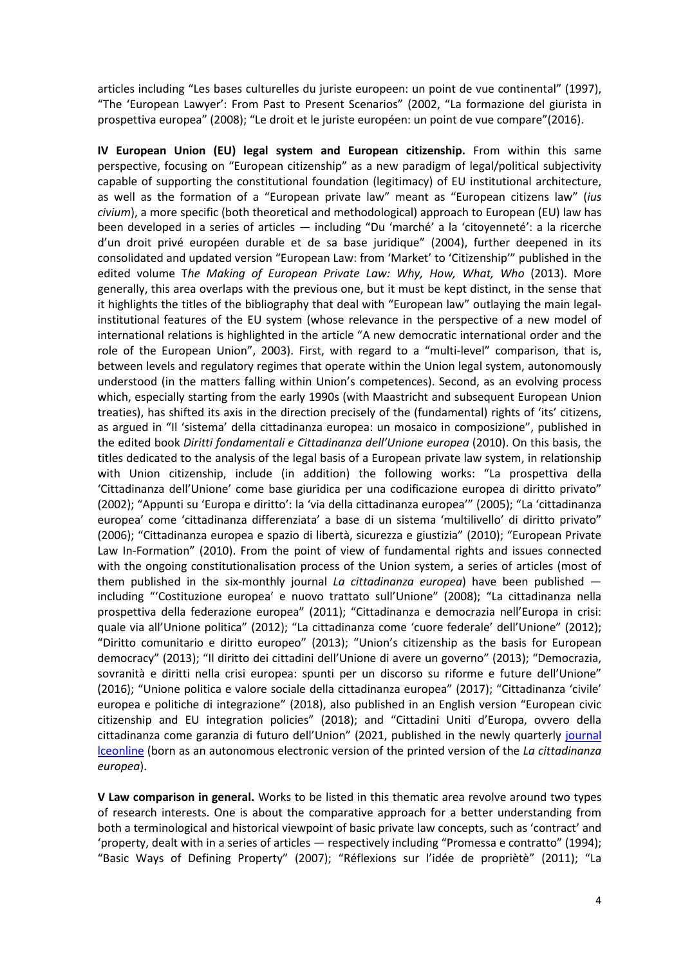articles including "Les bases culturelles du juriste europeen: un point de vue continental" (1997), "The 'European Lawyer': From Past to Present Scenarios" (2002, "La formazione del giurista in prospettiva europea" (2008); "Le droit et le juriste européen: un point de vue compare"(2016).

**IV European Union (EU) legal system and European citizenship.** From within this same perspective, focusing on "European citizenship" as a new paradigm of legal/political subjectivity capable of supporting the constitutional foundation (legitimacy) of EU institutional architecture, as well as the formation of a "European private law" meant as "European citizens law" (*ius civium*), a more specific (both theoretical and methodological) approach to European (EU) law has been developed in a series of articles ― including "Du 'marché' a la 'citoyenneté': a la ricerche d'un droit privé européen durable et de sa base juridique" (2004), further deepened in its consolidated and updated version "European Law: from 'Market' to 'Citizenship'" published in the edited volume T*he Making of European Private Law: Why, How, What, Who* (2013). More generally, this area overlaps with the previous one, but it must be kept distinct, in the sense that it highlights the titles of the bibliography that deal with "European law" outlaying the main legalinstitutional features of the EU system (whose relevance in the perspective of a new model of international relations is highlighted in the article "A new democratic international order and the role of the European Union", 2003). First, with regard to a "multi-level" comparison, that is, between levels and regulatory regimes that operate within the Union legal system, autonomously understood (in the matters falling within Union's competences). Second, as an evolving process which, especially starting from the early 1990s (with Maastricht and subsequent European Union treaties), has shifted its axis in the direction precisely of the (fundamental) rights of 'its' citizens, as argued in "Il 'sistema' della cittadinanza europea: un mosaico in composizione", published in the edited book *Diritti fondamentali e Cittadinanza dell'Unione europea* (2010). On this basis, the titles dedicated to the analysis of the legal basis of a European private law system, in relationship with Union citizenship, include (in addition) the following works: "La prospettiva della 'Cittadinanza dell'Unione' come base giuridica per una codificazione europea di diritto privato" (2002); "Appunti su 'Europa e diritto': la 'via della cittadinanza europea'" (2005); "La 'cittadinanza europea' come 'cittadinanza differenziata' a base di un sistema 'multilivello' di diritto privato" (2006); "Cittadinanza europea e spazio di libertà, sicurezza e giustizia" (2010); "European Private Law In-Formation" (2010). From the point of view of fundamental rights and issues connected with the ongoing constitutionalisation process of the Union system, a series of articles (most of them published in the six-monthly journal *La cittadinanza europea*) have been published ― including "'Costituzione europea' e nuovo trattato sull'Unione" (2008); "La cittadinanza nella prospettiva della federazione europea" (2011); "Cittadinanza e democrazia nell'Europa in crisi: quale via all'Unione politica" (2012); "La cittadinanza come 'cuore federale' dell'Unione" (2012); "Diritto comunitario e diritto europeo" (2013); "Union's citizenship as the basis for European democracy" (2013); "Il diritto dei cittadini dell'Unione di avere un governo" (2013); "Democrazia, sovranità e diritti nella crisi europea: spunti per un discorso su riforme e future dell'Unione" (2016); "Unione politica e valore sociale della cittadinanza europea" (2017); "Cittadinanza 'civile' europea e politiche di integrazione" (2018), also published in an English version "European civic citizenship and EU integration policies" (2018); and "Cittadini Uniti d'Europa, ovvero della cittadinanza come garanzia di futuro dell'Union" (2021, published in the newly quarterly [journal](https://www.lceonline.eu/)  [lceonline](https://www.lceonline.eu/) (born as an autonomous electronic version of the printed version of the *La cittadinanza europea*).

**V Law comparison in general.** Works to be listed in this thematic area revolve around two types of research interests. One is about the comparative approach for a better understanding from both a terminological and historical viewpoint of basic private law concepts, such as 'contract' and 'property, dealt with in a series of articles ― respectively including "Promessa e contratto" (1994); "Basic Ways of Defining Property" (2007); "Réflexions sur l'idée de propriètè" (2011); "La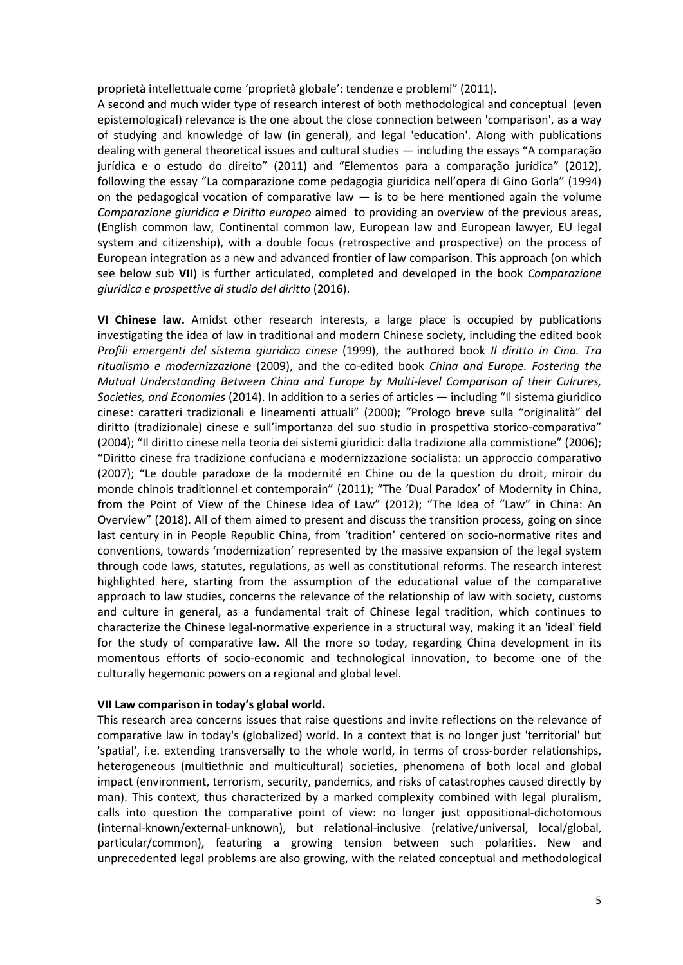proprietà intellettuale come 'proprietà globale': tendenze e problemi" (2011).

A second and much wider type of research interest of both methodological and conceptual (even epistemological) relevance is the one about the close connection between 'comparison', as a way of studying and knowledge of law (in general), and legal 'education'. Along with publications dealing with general theoretical issues and cultural studies ― including the essays "A comparação jurídica e o estudo do direito" (2011) and "Elementos para a comparação jurídica" (2012), following the essay "La comparazione come pedagogia giuridica nell'opera di Gino Gorla" (1994) on the pedagogical vocation of comparative law  $-$  is to be here mentioned again the volume *Comparazione giuridica e Diritto europeo* aimed to providing an overview of the previous areas, (English common law, Continental common law, European law and European lawyer, EU legal system and citizenship), with a double focus (retrospective and prospective) on the process of European integration as a new and advanced frontier of law comparison. This approach (on which see below sub **VII**) is further articulated, completed and developed in the book *Comparazione giuridica e prospettive di studio del diritto* (2016).

**VI Chinese law.** Amidst other research interests, a large place is occupied by publications investigating the idea of law in traditional and modern Chinese society, including the edited book *Profili emergenti del sistema giuridico cinese* (1999), the authored book *Il diritto in Cina. Tra ritualismo e modernizzazione* (2009), and the co-edited book *China and Europe. Fostering the Mutual Understanding Between China and Europe by Multi-level Comparison of their Culrures, Societies, and Economies* (2014). In addition to a series of articles ― including "Il sistema giuridico cinese: caratteri tradizionali e lineamenti attuali" (2000); "Prologo breve sulla "originalità" del diritto (tradizionale) cinese e sull'importanza del suo studio in prospettiva storico-comparativa" (2004); "Il diritto cinese nella teoria dei sistemi giuridici: dalla tradizione alla commistione" (2006); "Diritto cinese fra tradizione confuciana e modernizzazione socialista: un approccio comparativo (2007); "Le double paradoxe de la modernité en Chine ou de la question du droit, miroir du monde chinois traditionnel et contemporain" (2011); "The 'Dual Paradox' of Modernity in China, from the Point of View of the Chinese Idea of Law" (2012); "The Idea of "Law" in China: An Overview" (2018). All of them aimed to present and discuss the transition process, going on since last century in in People Republic China, from 'tradition' centered on socio-normative rites and conventions, towards 'modernization' represented by the massive expansion of the legal system through code laws, statutes, regulations, as well as constitutional reforms. The research interest highlighted here, starting from the assumption of the educational value of the comparative approach to law studies, concerns the relevance of the relationship of law with society, customs and culture in general, as a fundamental trait of Chinese legal tradition, which continues to characterize the Chinese legal-normative experience in a structural way, making it an 'ideal' field for the study of comparative law. All the more so today, regarding China development in its momentous efforts of socio-economic and technological innovation, to become one of the culturally hegemonic powers on a regional and global level.

## **VII Law comparison in today's global world.**

This research area concerns issues that raise questions and invite reflections on the relevance of comparative law in today's (globalized) world. In a context that is no longer just 'territorial' but 'spatial', i.e. extending transversally to the whole world, in terms of cross-border relationships, heterogeneous (multiethnic and multicultural) societies, phenomena of both local and global impact (environment, terrorism, security, pandemics, and risks of catastrophes caused directly by man). This context, thus characterized by a marked complexity combined with legal pluralism, calls into question the comparative point of view: no longer just oppositional-dichotomous (internal-known/external-unknown), but relational-inclusive (relative/universal, local/global, particular/common), featuring a growing tension between such polarities. New and unprecedented legal problems are also growing, with the related conceptual and methodological